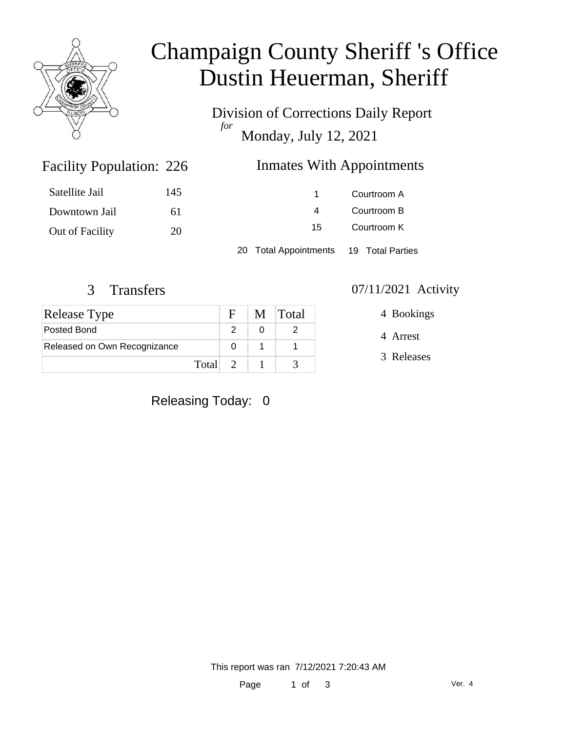

# Champaign County Sheriff 's Office Dustin Heuerman, Sheriff

Division of Corrections Daily Report *for* Monday, July 12, 2021

### Inmates With Appointments

| Satellite Jail  | 145 |                       | Courtroom A      |  |
|-----------------|-----|-----------------------|------------------|--|
| Downtown Jail   | 6 I |                       | Courtroom B      |  |
| Out of Facility | 20  | 15                    | Courtroom K      |  |
|                 |     | 20 Total Appointments | 19 Total Parties |  |

Facility Population: 226

| <b>Release Type</b>          |         | $F_{\perp}$ | M Total |
|------------------------------|---------|-------------|---------|
| Posted Bond                  |         |             |         |
| Released on Own Recognizance |         |             |         |
|                              | Total 2 |             |         |

#### 3 Transfers 07/11/2021 Activity

4 Bookings

4 Arrest

3 Releases

Releasing Today: 0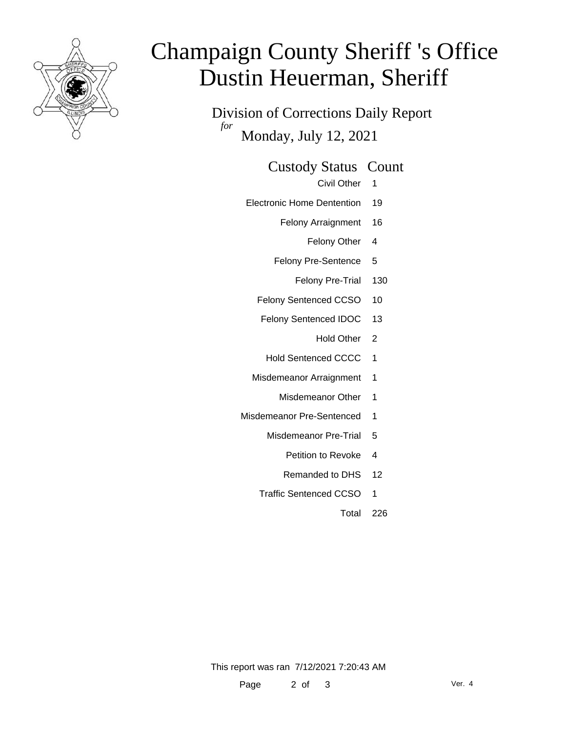

# Champaign County Sheriff 's Office Dustin Heuerman, Sheriff

Division of Corrections Daily Report *for* Monday, July 12, 2021

#### Custody Status Count

Civil Other 1

- Electronic Home Dentention 19
	- Felony Arraignment 16
		- Felony Other 4
	- Felony Pre-Sentence 5
		- Felony Pre-Trial 130
	- Felony Sentenced CCSO 10
	- Felony Sentenced IDOC 13
		- Hold Other 2
		- Hold Sentenced CCCC 1
	- Misdemeanor Arraignment 1
		- Misdemeanor Other 1
- Misdemeanor Pre-Sentenced 1
	- Misdemeanor Pre-Trial 5
		- Petition to Revoke 4
		- Remanded to DHS 12
	- Traffic Sentenced CCSO 1
		- Total 226